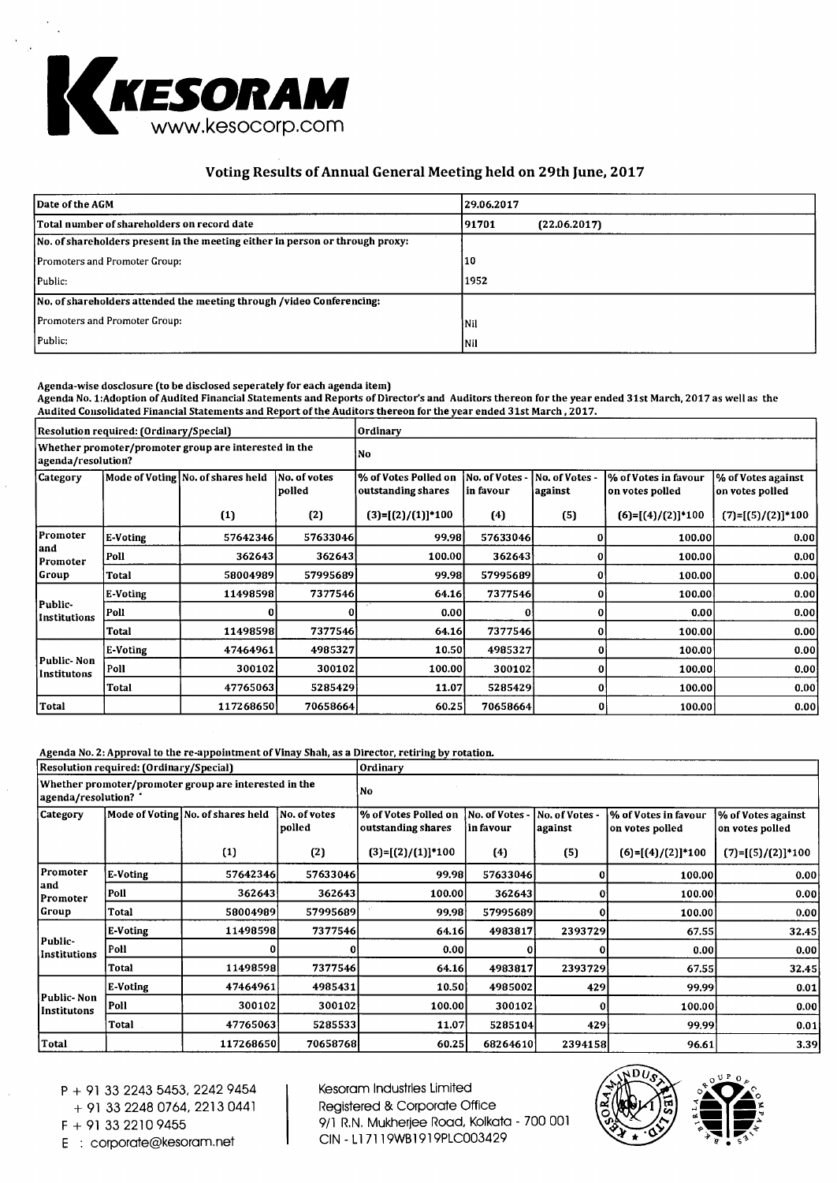

# **Voting Results of Annual General Meeting held on 29th June, 2017**

| Date of the AGM                                                               | 29.06.2017 |              |
|-------------------------------------------------------------------------------|------------|--------------|
| Total number of shareholders on record date                                   | 191701     | (22.06.2017) |
| No. of shareholders present in the meeting either in person or through proxy: |            |              |
| Promoters and Promoter Group:                                                 | 10         |              |
| Public:                                                                       | 1952.      |              |
| No, of shareholders attended the meeting through /video Conferencing:         |            |              |
| <b>Promoters and Promoter Group:</b>                                          | Nil        |              |
| Public:                                                                       | <b>Nil</b> |              |

#### **Agenda-wise dosclosure (to be disclosed seperately for each agenda item)**

**Agenda No. 1:Adoption of Audited Financial Statements and Reports of Director's and Auditors thereon for the year ended 31st March, 2017 as well as the Audited Consolidated Financial Statements and Report of the Auditors thereon for the year ended 31st March , 2017.** 

| Resolution required: (Ordinary/Special)                                     |          |                                   |                        | Ordinary                                   |                             |                           |                                         |                                       |
|-----------------------------------------------------------------------------|----------|-----------------------------------|------------------------|--------------------------------------------|-----------------------------|---------------------------|-----------------------------------------|---------------------------------------|
| Whether promoter/promoter group are interested in the<br>agenda/resolution? |          |                                   |                        | No.                                        |                             |                           |                                         |                                       |
| Category                                                                    |          | Mode of Voting No. of shares held | No. of votes<br>polled | % of Votes Polled on<br>outstanding shares | No. of Votes -<br>in favour | No. of Votes -<br>against | % of Votes in favour<br>on votes polled | % of Votes against<br>on votes polled |
|                                                                             |          | (1)                               | (2)                    | $(3)=[(2)/(1)]*100$                        | (4)                         | (5)                       | $(6)=[(4)/(2)]*100$                     | $(7)=[(5)/(2)]*100$                   |
| Promoter<br>land<br>Promoter                                                | E-Voting | 57642346                          | 57633046               | 99,98                                      | 57633046                    |                           | 100.00                                  | 0.001                                 |
|                                                                             | Poll     | 362643                            | 362643                 | 100.00                                     | 362643                      | 0                         | 100.00                                  | 0.00                                  |
| Group                                                                       | Total    | 58004989                          | 57995689               | 99.98                                      | 57995689                    | 0                         | 100.00                                  | 0.00                                  |
|                                                                             | E-Voting | 11498598                          | 7377546                | 64.16                                      | 7377546                     | Ω                         | 100.00                                  | 0.00                                  |
| Public-<br>Institutions                                                     | Poll     |                                   |                        | 0.00                                       |                             | 0                         | 0.00                                    | 0.00                                  |
|                                                                             | Total    | 11498598                          | 7377546                | 64.16                                      | 73775461                    | 0                         | 100.00                                  | 0.00                                  |
|                                                                             | E-Voting | 47464961                          | 4985327                | 10.50                                      | 4985327                     | 0                         | 100.00                                  | 0.00                                  |
| Public-Non<br>Institutons                                                   | Poll     | 300102                            | 300102                 | 100.00                                     | 300102                      | ΩI                        | 100,00                                  | 0.00                                  |
|                                                                             | Total    | 47765063                          | 5285429                | 11.07                                      | 5285429                     | 0                         | 100.00                                  | 0.00                                  |
| Total                                                                       |          | 117268650                         | 70658664               | 60.25                                      | 70658664                    | $\mathbf{0}$              | 100.00                                  | 0.00                                  |

**Agenda No. 2: Approval to the re-appointment of Vinay Shah, as a Director, retiring by rotation.** 

|                                                                               | Resolution required: (Ordinary/Special) |                                   |                        | Ordinary                                   |                             |                           |                                         |                                       |  |
|-------------------------------------------------------------------------------|-----------------------------------------|-----------------------------------|------------------------|--------------------------------------------|-----------------------------|---------------------------|-----------------------------------------|---------------------------------------|--|
| Whether promoter/promoter group are interested in the<br>agenda/resolution? " |                                         |                                   | No                     |                                            |                             |                           |                                         |                                       |  |
| <b>Category</b>                                                               |                                         | Mode of Voting No. of shares held | No. of votes<br>polled | % of Votes Polled on<br>outstanding shares | No. of Votes -<br>in favour | No. of Votes -<br>against | % of Votes in favour<br>on votes polled | % of Votes against<br>on votes polled |  |
|                                                                               |                                         | (1)                               | (2)                    | $(3)=[(2)/(1)]^{*}100$                     | (4)                         | (5)                       | $(6)=[(4)/(2)]*100$                     | $(7)=[(5)/(2)]*100$                   |  |
| Promoter<br>and<br>Promoter                                                   | E-Voting                                | 57642346                          | 57633046               | 99.98                                      | 57633046                    |                           | 100.00                                  | 0.00                                  |  |
|                                                                               | Poll                                    | 362643                            | 362643                 | 100.00                                     | 362643                      | 0                         | 100.00                                  | 0.00                                  |  |
| Group                                                                         | Total                                   | 58004989                          | 57995689               | 99.98                                      | 57995689                    | 0                         | 100.00                                  | 0.00                                  |  |
|                                                                               | E-Voting                                | 11498598                          | 7377546                | 64.16                                      | 4983817                     | 2393729                   | 67.55                                   | 32.45                                 |  |
| Public-<br>Institutions                                                       | Poll                                    |                                   |                        | 0.00                                       |                             | 0                         | 0.00                                    | 0.00                                  |  |
|                                                                               | Total                                   | 11498598                          | 7377546                | 64.16                                      | 4983817                     | 2393729                   | 67.55                                   | 32.45                                 |  |
|                                                                               | E-Voting                                | 47464961                          | 4985431                | 10.50                                      | 4985002                     | 429                       | 99.99                                   | 0.01                                  |  |
| Public- Non<br>Institutons                                                    | Poll                                    | 300102                            | 300102                 | 100.00                                     | 300102                      | 01                        | 100.00                                  | 0.00                                  |  |
|                                                                               | Total                                   | 47765063                          | 5285533                | 11.07                                      | 5285104                     | 429                       | 99.99                                   | 0.01                                  |  |
| Total                                                                         |                                         | 117268650                         | 70658768               | 60.25                                      | 68264610                    | 2394158                   | 96.61                                   | 3.39                                  |  |

P + 91 33 2243 5453, 2242 9454

+ 91 33 2248 0764, 2213 0441

E : corporate@kesoram.net

Kesoram Industries Limited Registered & Corporate Office  $F + 913322109455$ <br>  $F + 913322109455$ <br>  $F + 200001$ <br>  $F + 200001$ <br>  $F + 200003429$ 



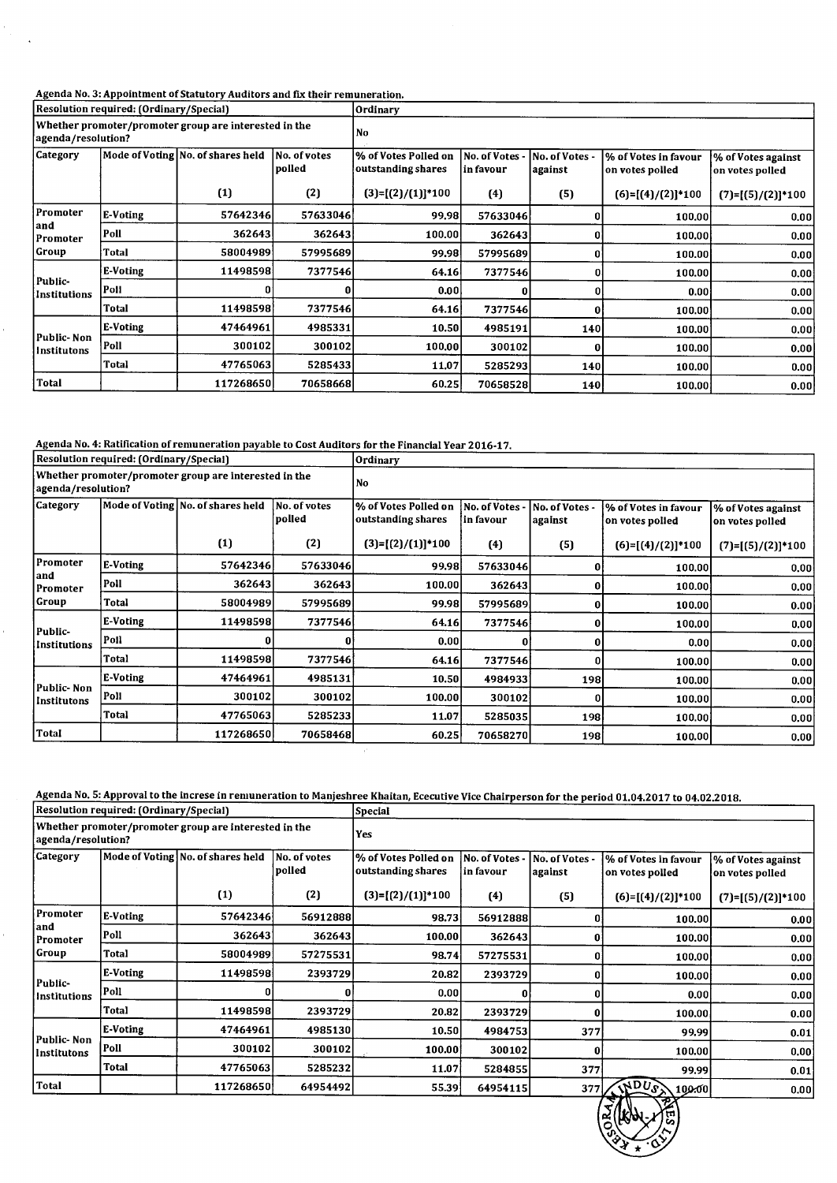### Agenda No. 3: Appointment of Statutory Auditors and fix their remuneration.

 $\ddot{\phantom{a}}$ 

|                                                                             | Resolution required: (Ordinary/Special) |                                   |                         | <b>Ordinary</b>                            |                                   |                           |                                         |                                       |  |
|-----------------------------------------------------------------------------|-----------------------------------------|-----------------------------------|-------------------------|--------------------------------------------|-----------------------------------|---------------------------|-----------------------------------------|---------------------------------------|--|
| Whether promoter/promoter group are interested in the<br>agenda/resolution? |                                         |                                   |                         | No                                         |                                   |                           |                                         |                                       |  |
| <b>Category</b>                                                             |                                         | Mode of Voting No. of shares held | No. of votes<br> polled | % of Votes Polled on<br>outstanding shares | <b>No. of Votes</b><br> in favour | No. of Votes -<br>against | % of Votes in favour<br>on votes polled | % of Votes against<br>on votes polled |  |
|                                                                             |                                         | (1)                               | (2)                     | $(3)=[(2)/(1)]*100$                        | (4)                               | (5)                       | $(6)=[(4)/(2)]*100$                     | $(7)=[(5)/(2)]*100$                   |  |
| Promoter<br>and<br>Promoter                                                 | E-Voting                                | 57642346                          | 576330461               | 99.98                                      | 57633046                          |                           | 100,00                                  | 0.00                                  |  |
|                                                                             | Poll                                    | 362643                            | 362643                  | 100.00                                     | 362643                            | 0                         | 100.00                                  | 0.00                                  |  |
| Group                                                                       | Total                                   | 58004989                          | 57995689                | 99.98                                      | 57995689                          | 0                         | 100.00                                  | 0.00                                  |  |
|                                                                             | E-Voting                                | 11498598                          | 7377546                 | 64.16                                      | 7377546                           | 0                         | 100.00                                  | 0.00                                  |  |
| Public-<br>Institutions                                                     | Poll                                    | 0                                 | 0                       | 0.00                                       |                                   | $\mathbf{0}$              | 0.001                                   | 0.00                                  |  |
|                                                                             | Total                                   | 11498598                          | 7377546                 | 64.16                                      | 7377546                           | 0                         | 100,00                                  | 0.00                                  |  |
|                                                                             | E-Voting                                | 47464961                          | 4985331                 | 10.50                                      | 4985191                           | <b>140</b>                | 100.00                                  | 0.00                                  |  |
| Public-Non<br>Institutons                                                   | Poll                                    | 300102                            | 300102                  | 100.00                                     | 300102                            | 0                         | 100.00                                  | 0.00                                  |  |
|                                                                             | Total                                   | 47765063                          | 5285433                 | 11,07                                      | 5285293                           | 140                       | 100.00                                  | 0.00                                  |  |
| Total                                                                       |                                         | 117268650                         | 70658668                | 60.25                                      | 70658528                          | <b>140</b>                | 100.00                                  | 0.00                                  |  |

Agenda No. 4: Ratification of remuneration payable to Cost Auditors for the Financial Year 2016-17.

|                                                                             | Resolution required: (Ordinary/Special) |                                   |                        | <b>Ordinary</b>                            |                              |                           |                                         |                                       |  |
|-----------------------------------------------------------------------------|-----------------------------------------|-----------------------------------|------------------------|--------------------------------------------|------------------------------|---------------------------|-----------------------------------------|---------------------------------------|--|
| Whether promoter/promoter group are interested in the<br>agenda/resolution? |                                         |                                   | No                     |                                            |                              |                           |                                         |                                       |  |
| <b>Category</b>                                                             |                                         | Mode of Voting No. of shares held | No. of votes<br>polled | % of Votes Polled on<br>outstanding shares | No. of Votes -<br>'in favour | No. of Votes -<br>against | % of Votes in favour<br>on votes polled | % of Votes against<br>on votes polled |  |
|                                                                             |                                         | (1)                               | (2)                    | $(3)=[(2)/(1)]*100$                        | (4)                          | (5)                       | $(6)=[(4)/(2)]*100$                     | $(7)=[(5)/(2)]*100$                   |  |
| Promoter<br>land<br>Promoter                                                | E-Voting                                | 57642346                          | 57633046               | 99.98                                      | 57633046                     |                           | 100.00                                  | 0.00                                  |  |
|                                                                             | Poll                                    | 362643                            | 362643                 | 100,00                                     | 362643                       | 0                         | 100.00                                  | 0.00                                  |  |
| Group                                                                       | Total                                   | 58004989                          | 57995689               | 99.98                                      | 57995689                     |                           | 100.00                                  | 0.00                                  |  |
| Public-                                                                     | E-Voting                                | 11498598                          | 7377546                | 64.16                                      | 7377546                      | 0                         | 100.00                                  | 0.00                                  |  |
| Institutions                                                                | Poll                                    |                                   | 0                      | 0.00                                       |                              | 0                         | 0.001                                   | 0.00                                  |  |
|                                                                             | Total                                   | 11498598                          | 7377546                | 64.16                                      | 7377546                      |                           | 100.00                                  | 0.00                                  |  |
|                                                                             | E-Voting                                | 47464961                          | 4985131                | 10.50                                      | 4984933                      | 198 <sup> </sup>          | 100.00                                  | 0.00                                  |  |
| Public-Non<br>Institutons                                                   | Poll                                    | 300102                            | 300102                 | 100.00                                     | 300102                       | O                         | 100.00                                  | 0.00                                  |  |
|                                                                             | Total                                   | 47765063                          | 5285233                | 11.07                                      | 5285035                      | 198                       | 100.00                                  | 0.00                                  |  |
| Total                                                                       |                                         | 117268650                         | 70658468               | 60.25                                      | 70658270                     | 198                       | 100.00                                  | 0.00                                  |  |

Agenda No. 5: Approval to the increse in remuneration to Manjeshree Khaitan, Ececutiv

|                                                                             | Resolution required: (Ordinary/Special) |                                   |                        | Special                                    |                              |                           | <u>senaa we. Si Approval to the merese in remancration to mangemee Khaltan, beecutive vice chall person ior the period 01.04.2017 to 04.02.2018.</u> |                                       |  |
|-----------------------------------------------------------------------------|-----------------------------------------|-----------------------------------|------------------------|--------------------------------------------|------------------------------|---------------------------|------------------------------------------------------------------------------------------------------------------------------------------------------|---------------------------------------|--|
| Whether promoter/promoter group are interested in the<br>agenda/resolution? |                                         |                                   | <b>Yes</b>             |                                            |                              |                           |                                                                                                                                                      |                                       |  |
| <b>Category</b>                                                             |                                         | Mode of Voting No. of shares held | No. of votes<br>polled | % of Votes Polled on<br>outstanding shares | No. of Votes -<br> in favour | No. of Votes -<br>against | % of Votes in favour<br>on votes polled                                                                                                              | % of Votes against<br>on votes polled |  |
|                                                                             |                                         | (1)                               | (2)                    | $(3)=[(2)/(1)]*100$                        | (4)                          | (5)                       | $(6)=[(4)/(2)]*100$                                                                                                                                  | $(7)=[(5)/(2)]*100$                   |  |
| Promoter                                                                    | E-Voting                                | 57642346                          | 56912888               | 98.73                                      | 56912888                     |                           | 100.00                                                                                                                                               | 0.00                                  |  |
| and<br>Promoter                                                             | Poll                                    | 362643                            | 362643                 | 100.00                                     | 362643                       |                           | 100.00                                                                                                                                               | 0.00                                  |  |
| Group                                                                       | Total                                   | 58004989                          | 57275531               | 98.74                                      | 57275531                     |                           | 100.00                                                                                                                                               | 0.00                                  |  |
|                                                                             | E-Voting                                | 11498598                          | 2393729                | 20.82                                      | 2393729                      |                           | 100.00                                                                                                                                               | 0.00                                  |  |
| Public-<br>Institutions                                                     | Poll                                    |                                   | 0                      | 0.001                                      |                              |                           | 0.00                                                                                                                                                 | 0.00                                  |  |
|                                                                             | Total                                   | 11498598                          | 2393729                | 20.82                                      | 2393729                      |                           | 100.00                                                                                                                                               | 0.00                                  |  |
|                                                                             | E-Voting                                | 47464961                          | 4985130                | 10.50                                      | 4984753                      | 377                       | 99.99                                                                                                                                                | 0.01                                  |  |
| Public-Non<br>Institutons                                                   | Poll                                    | 300102                            | 300102                 | 100.00                                     | 300102                       | 0                         | 100.00                                                                                                                                               | 0.00                                  |  |
|                                                                             | Total                                   | 47765063                          | 5285232                | 11.07                                      | 5284855                      | 377                       | 99.99                                                                                                                                                | 0.01                                  |  |
| <b>Total</b>                                                                |                                         | 117268650                         | 64954492               | 55.39                                      | 64954115                     | 377                       | $\sqrt{dD}U_{\mathcal{S}}$<br> 100.00                                                                                                                | 0.001                                 |  |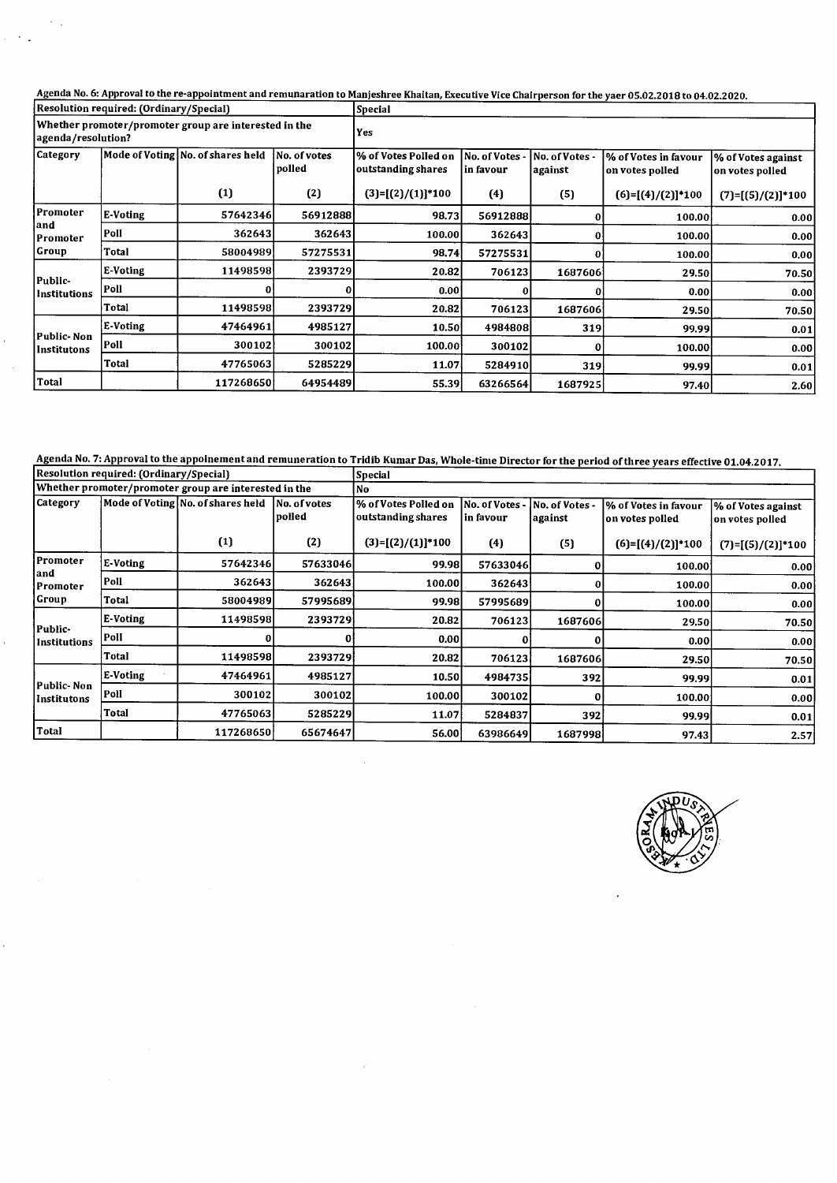Agenda No. 6: Approval to the re-appointment and remunaration to Manjeshree Khaitan, Executive Vice Chair

|                                                                             | Resolution required: (Ordinary/Special) |                                   |                        | <b>Special</b>                             |                           |                           |                                         |                                       |  |
|-----------------------------------------------------------------------------|-----------------------------------------|-----------------------------------|------------------------|--------------------------------------------|---------------------------|---------------------------|-----------------------------------------|---------------------------------------|--|
| Whether promoter/promoter group are interested in the<br>agenda/resolution? |                                         |                                   |                        | Yes                                        |                           |                           |                                         |                                       |  |
| Category                                                                    |                                         | Mode of Voting No. of shares held | No. of votes<br>polled | % of Votes Polled on<br>outstanding shares | No. of Votes<br>in favour | No. of Votes -<br>against | % of Votes in favour<br>on votes polled | % of Votes against<br>on votes polled |  |
|                                                                             |                                         | (1)                               | (2)                    | $(3)=[(2)/(1)]*100$                        | (4)                       | (5)                       | $(6)=[(4)/(2)]*100$                     | $(7)=[(5)/(2)]*100$                   |  |
| Promoter                                                                    | E-Voting                                | 57642346                          | 56912888               | 98.73                                      | 56912888                  | 0                         | 100.00                                  | 0.00                                  |  |
| land<br>Promoter                                                            | Poll                                    | 362643                            | 362643                 | 100.00                                     | 362643                    | 0                         | 100.00                                  | 0.00                                  |  |
| Group                                                                       | Total                                   | 58004989                          | 57275531               | 98.74                                      | 57275531                  | 0                         | 100.00                                  | 0.00                                  |  |
|                                                                             | E-Voting                                | 11498598                          | 2393729                | 20.82                                      | 706123                    | 1687606                   | 29.50                                   | 70.50                                 |  |
| Public-<br>Institutions                                                     | Poll                                    | 0                                 | 0                      | 0.00                                       |                           | 0                         | 0.00                                    | 0.00                                  |  |
|                                                                             | Total                                   | 11498598                          | 2393729                | 20.82                                      | 706123                    | 1687606                   | 29.50                                   | 70.50                                 |  |
|                                                                             | E-Voting                                | 47464961                          | 4985127                | 10.50                                      | 4984808                   | 319                       | 99.99                                   | 0.01                                  |  |
| Public- Non<br>Institutons                                                  | Poll                                    | 300102                            | 300102                 | 100.00                                     | 300102                    | 0                         | 100.00                                  | 0.00                                  |  |
|                                                                             | <b>Total</b>                            | 47765063                          | 5285229                | 11.07                                      | 5284910                   | 319                       | 99.99                                   | 0.01                                  |  |
| Total                                                                       |                                         | 117268650                         | 64954489               | 55.39                                      | 63266564                  | 1687925                   | 97.40                                   | 2.60                                  |  |

#### Agenda No. 7: Approval to the appoinement and remuneration to Tridib Kumar Das, Whole-

|                              | Resolution required: (Ordinary/Special) |                                                       |                         | <b>Special</b>                             |                              |                           |                                         |                                       |  |  |
|------------------------------|-----------------------------------------|-------------------------------------------------------|-------------------------|--------------------------------------------|------------------------------|---------------------------|-----------------------------------------|---------------------------------------|--|--|
|                              |                                         | Whether promoter/promoter group are interested in the |                         | No.                                        |                              |                           |                                         |                                       |  |  |
| Category                     |                                         | Mode of Voting No. of shares held                     | No. of votes<br> polled | % of Votes Polled on<br>outstanding shares | No. of Votes -<br> in favour | No. of Votes -<br>against | % of Votes in favour<br>on votes polled | % of Votes against<br>on votes polled |  |  |
|                              |                                         | (1)                                                   | (2)                     | $(3)=[(2)/(1)]*100$                        | (4)                          | (5)                       | $(6)=[(4)/(2)]*100$                     | $(7)=[(5)/(2)]*100$                   |  |  |
| Promoter<br>land<br>Promoter | E-Voting                                | 576423461                                             | 57633046                | 99.98                                      | 57633046                     |                           | 100.00                                  | 0.00                                  |  |  |
|                              | Poll                                    | 362643                                                | 362643                  | 100.00                                     | 362643                       |                           | 100.00                                  | 0.00                                  |  |  |
| Group                        | Total                                   | 58004989                                              | 57995689                | 99,98                                      | 57995689                     |                           | 100.00                                  | 0.00                                  |  |  |
| Public-                      | E-Voting                                | 11498598                                              | 2393729                 | 20.82                                      | 706123                       | 1687606                   | 29.50                                   | 70.50                                 |  |  |
| Institutions                 | Poll                                    |                                                       | 01                      | 0.001                                      |                              |                           | 0.00                                    | 0.00                                  |  |  |
|                              | Total                                   | 11498598                                              | 2393729                 | 20.82                                      | 706123                       | 1687606                   | 29.50                                   | 70.50                                 |  |  |
|                              | E-Voting                                | 47464961                                              | 4985127                 | 10.50                                      | 4984735                      | 392                       | 99.99                                   | 0.01                                  |  |  |
| Public- Non-<br>Institutons  | Poll                                    | 300102                                                | 300102                  | 100.00                                     | 300102                       |                           | 100.00                                  | 0.00                                  |  |  |
|                              | Total                                   | 47765063                                              | 5285229                 | 11.07                                      | 5284837                      | 392                       | 99.99                                   | 0.01                                  |  |  |
| Total                        |                                         | 117268650                                             | 65674647                | 56.00                                      | 63986649                     | 1687998                   | 97.43                                   | 2.57                                  |  |  |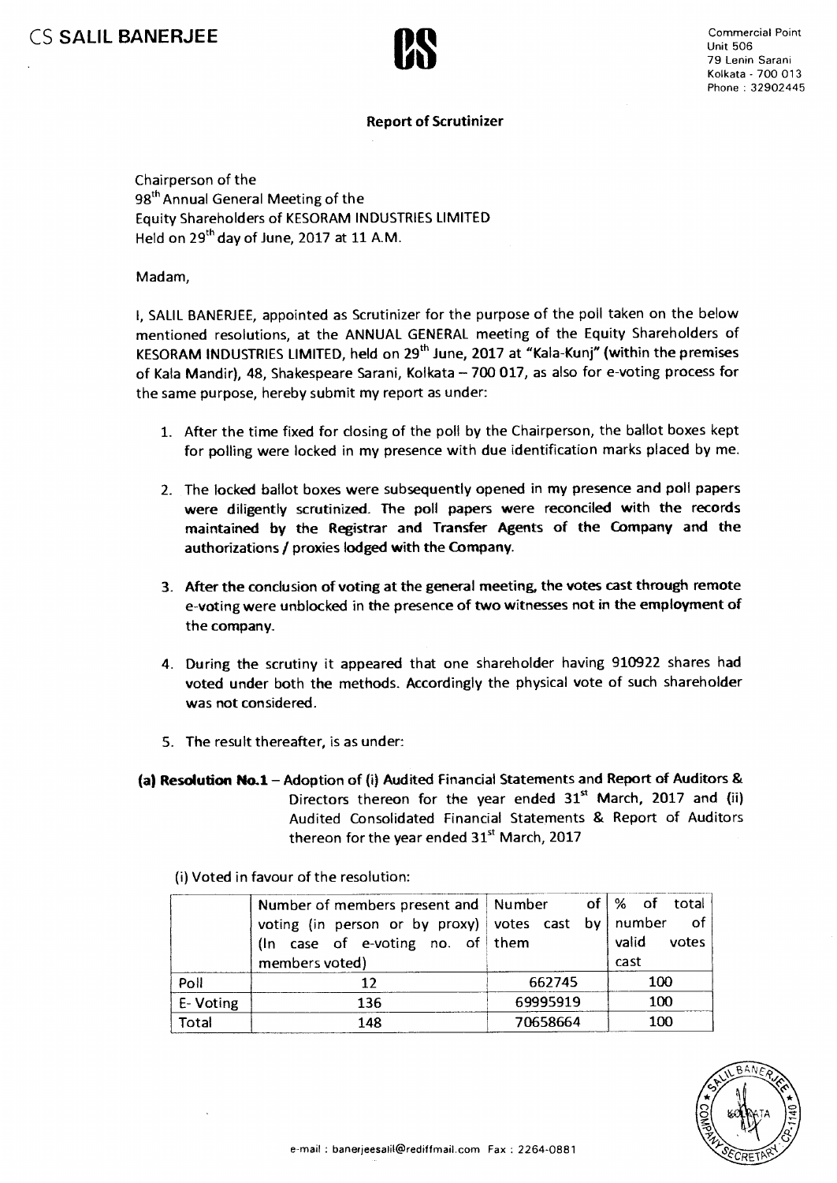

CS SALIL BANERJEE<br>
CS SALIL BANERJEE<br>
CS SALIL BANERJEE<br>
CS SALIL BANERJEE<br>
COMERCIAL POINT Unit 506 79 Lenin Sarani Kolkata - 700 013 Phone : 32902445

## **Report of Scrutinizer**

Chairperson of the 98<sup>th</sup> Annual General Meeting of the Equity Shareholders of KESORAM INDUSTRIES LIMITED Held on 29<sup>th</sup> day of June, 2017 at 11 A.M.

Madam,

I, SALIL BANERJEE, appointed as Scrutinizer for the purpose of the poll taken on the below mentioned resolutions, at the ANNUAL GENERAL meeting of the Equity Shareholders of KESORAM INDUSTRIES LIMITED, held on 29<sup>th</sup> June, 2017 at "Kala-Kunj" (within the premises of Kala Mandir), 48, Shakespeare Sarani, Kolkata — 700 017, as also for e-voting process for the same purpose, hereby submit my report as under:

- 1. After the time fixed for closing of the poll by the Chairperson, the ballot boxes kept for polling were locked in my presence with due identification marks placed by me.
- 2. The locked ballot boxes were subsequently opened in my presence and poll papers were diligently scrutinized. The poll papers were reconciled with the records maintained by the Registrar and Transfer Agents of the Company and the authorizations / proxies lodged with the Company.
- 3. After the conclusion of voting at the general meeting, the votes cast through remote e-voting were unblocked in the presence of two witnesses not in the employment of the company.
- 4. During the scrutiny it appeared that one shareholder having 910922 shares had voted under both the methods. Accordingly the physical vote of such shareholder was not considered.
- 5. The result thereafter, is as under:
- **(a) Resolution No.1—** Adoption of (i) Audited Financial Statements and Report of Auditors & Directors thereon for the year ended  $31<sup>st</sup>$  March, 2017 and (ii) Audited Consolidated Financial Statements & Report of Auditors thereon for the year ended  $31<sup>st</sup>$  March, 2017

(i) Voted in favour of the resolution:

|          | Number of members present and   Number<br>voting (in person or by proxy) votes cast by   number of<br>(In case of e-voting no. of them |          | of   % of total<br>valid<br>votes |  |
|----------|----------------------------------------------------------------------------------------------------------------------------------------|----------|-----------------------------------|--|
|          | members voted)                                                                                                                         |          | cast                              |  |
| Poll     |                                                                                                                                        | 662745   | 100                               |  |
| E-Voting | 136                                                                                                                                    | 69995919 | 100                               |  |
| Total    | 148                                                                                                                                    | 70658664 | 100                               |  |

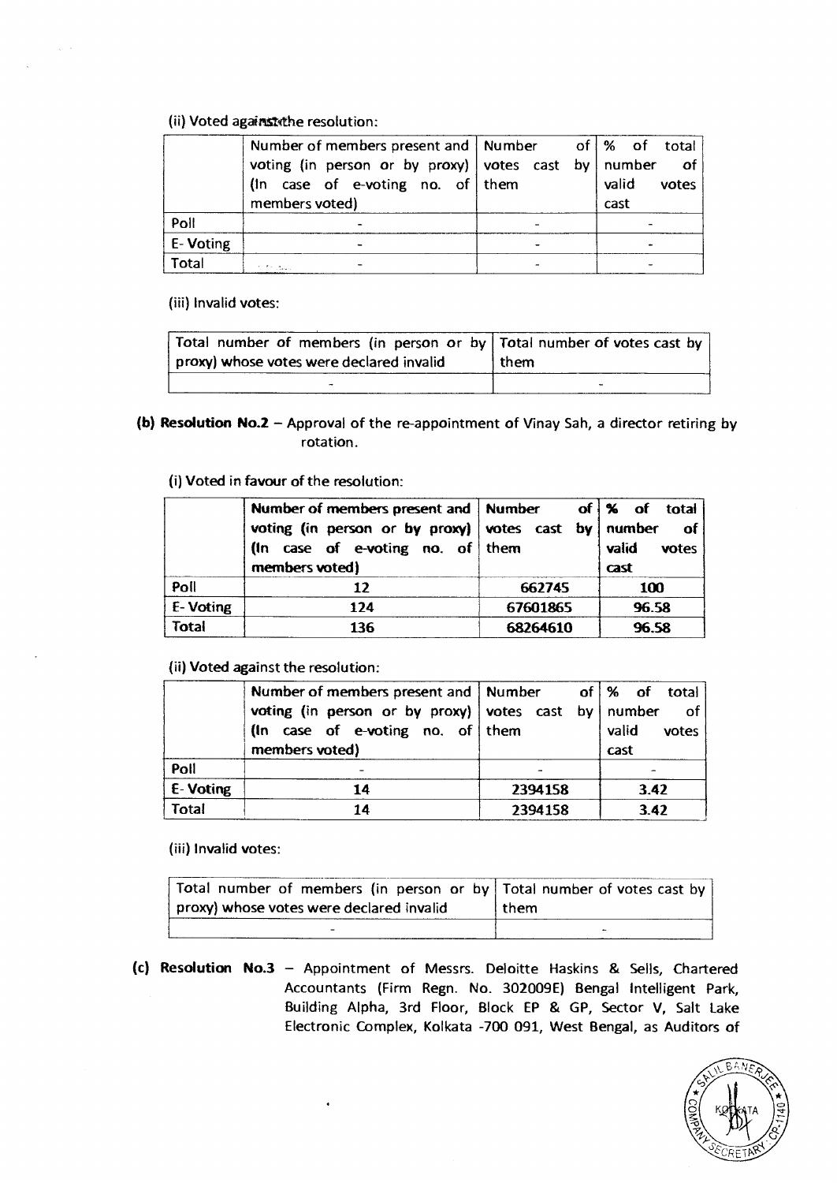## **(ii)** Voted against the resolution:

|          | Number of members present and   Number of   % of total |  |       |       |
|----------|--------------------------------------------------------|--|-------|-------|
|          | voting (in person or by proxy) votes cast by number    |  |       | of    |
|          | (In case of e-voting no. of them                       |  | valid | votes |
|          | members voted)                                         |  | cast  |       |
| Poll     |                                                        |  |       |       |
| E-Voting |                                                        |  |       |       |
| Total    |                                                        |  |       |       |

(iii) Invalid votes:

 $\alpha_{\rm{max}}$ 

| Total number of members (in person or by   Total number of votes cast by<br>proxy) whose votes were declared invalid | l them |
|----------------------------------------------------------------------------------------------------------------------|--------|
| $\bullet$                                                                                                            |        |

**(b) Resolution No.2 —** Approval of the re-appointment of Vinay Sah, a director retiring by rotation.

(i) Voted in **favour of the resolution:** 

|              | Number of members present and   Number<br>voting (in person or by proxy) votes cast by   number<br>(In case of e-voting no. of them<br>members voted) |          | of \% of total<br>- of<br>valid<br>votes<br>cast |
|--------------|-------------------------------------------------------------------------------------------------------------------------------------------------------|----------|--------------------------------------------------|
| Poll         |                                                                                                                                                       | 662745   | 100                                              |
| E-Voting     | 124                                                                                                                                                   | 67601865 | 96.58                                            |
| <b>Total</b> | 136                                                                                                                                                   | 68264610 | 96.58                                            |

**(ii) Voted against the resolution:** 

|          | Number of members present and   Number              |         | of   % of total |
|----------|-----------------------------------------------------|---------|-----------------|
|          | voting (in person or by proxy) votes cast by number |         | of <b>o</b>     |
|          | (In case of e-voting no. of them                    |         | valid<br>votes  |
|          | members voted)                                      |         | cast            |
| Poll     |                                                     |         |                 |
| E-Voting | 14                                                  | 2394158 | 3.42            |
| Total    | 14                                                  | 2394158 | 3.42            |

**(iii) Invalid votes:** 

| Total number of members (in person or by   Total number of votes cast by |        |
|--------------------------------------------------------------------------|--------|
| proxy) whose votes were declared invalid                                 | l them |
|                                                                          |        |

**(c) Resolution No.3 —** Appointment of Messrs. Deloitte Haskins & Sells, Chartered Accountants (Firm Regn. No. 302009E) Bengal Intelligent Park, Building Alpha, 3rd Floor, Block EP & GP, Sector V, Salt Lake Electronic Complex, Kolkata -700 091, West Bengal, as Auditors of

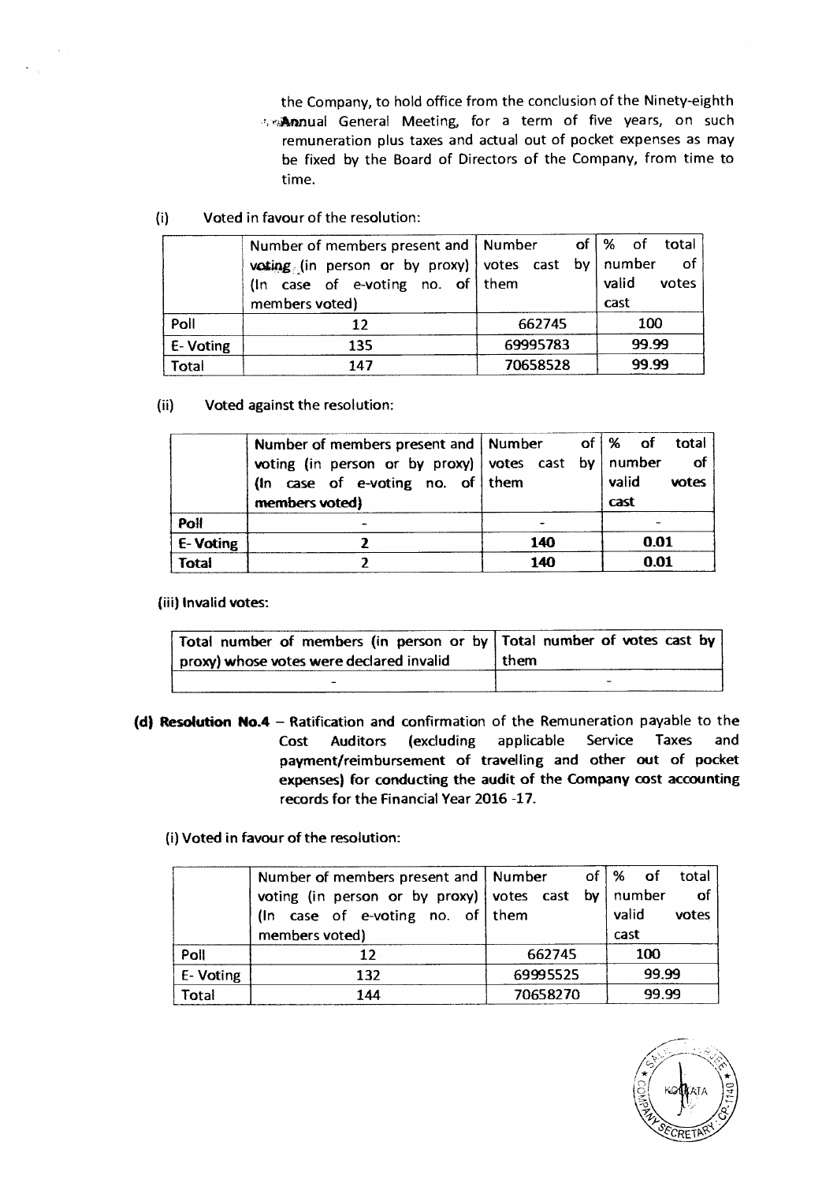the Company, to hold office from the conclusion of the Ninety-eighth the **Annual General Meeting, for a term of five years, on such** remuneration plus taxes and actual out of pocket expenses as may be fixed by the Board of Directors of the Company, from time to time.

(i) Voted in favour of the resolution:

 $\sim$ 

|          | Number of members present and   Number              |          | of   % of total |
|----------|-----------------------------------------------------|----------|-----------------|
|          | voting (in person or by proxy) votes cast by number |          | of              |
|          | (In case of e-voting no. of them                    |          | valid<br>votes  |
|          | members voted)                                      |          | cast            |
| Poll     | 12                                                  | 662745   | 100             |
| E-Voting | 135                                                 | 69995783 | 99.99           |
| Total    | 147                                                 | 70658528 | 99.99           |

(ii) Voted against the resolution:

|              | Number of members present and   Number of   % of total |     |       |       |
|--------------|--------------------------------------------------------|-----|-------|-------|
|              | voting (in person or by proxy) votes cast by number    |     |       | of    |
|              | (In case of e-voting no. of them                       |     | valid | votes |
|              | members voted)                                         |     | cast  |       |
| Poll         |                                                        |     |       |       |
| E-Voting     |                                                        | 140 | 0.01  |       |
| <b>Total</b> |                                                        | 140 | 0.01  |       |

(iii) Invalid votes:

| Total number of members (in person or by Total number of votes cast by |      |
|------------------------------------------------------------------------|------|
| proxy) whose votes were declared invalid                               | them |
|                                                                        |      |

**(d) Resolution No.4 —** Ratification and confirmation of the Remuneration payable to the Cost Auditors (excluding applicable Service Taxes and payment/reimbursement of travelling and other out of pocket expenses) for conducting the audit of the **Company cost accounting records for** the Financial Year 2016 -17.

(i) Voted in favour of the resolution:

|          | Number of members present and   Number                |          | of $\%$ of<br>total |
|----------|-------------------------------------------------------|----------|---------------------|
|          | voting (in person or by proxy) votes cast by   number |          | of                  |
|          | (In case of e-voting no. of them                      |          | valid<br>votes      |
|          | members voted)                                        |          | cast                |
| Poll     | 12 <sub>1</sub>                                       | 662745   | 100                 |
| E-Voting | 132                                                   | 69995525 | 99.99               |
| Total    | 144                                                   | 70658270 | 99.99               |

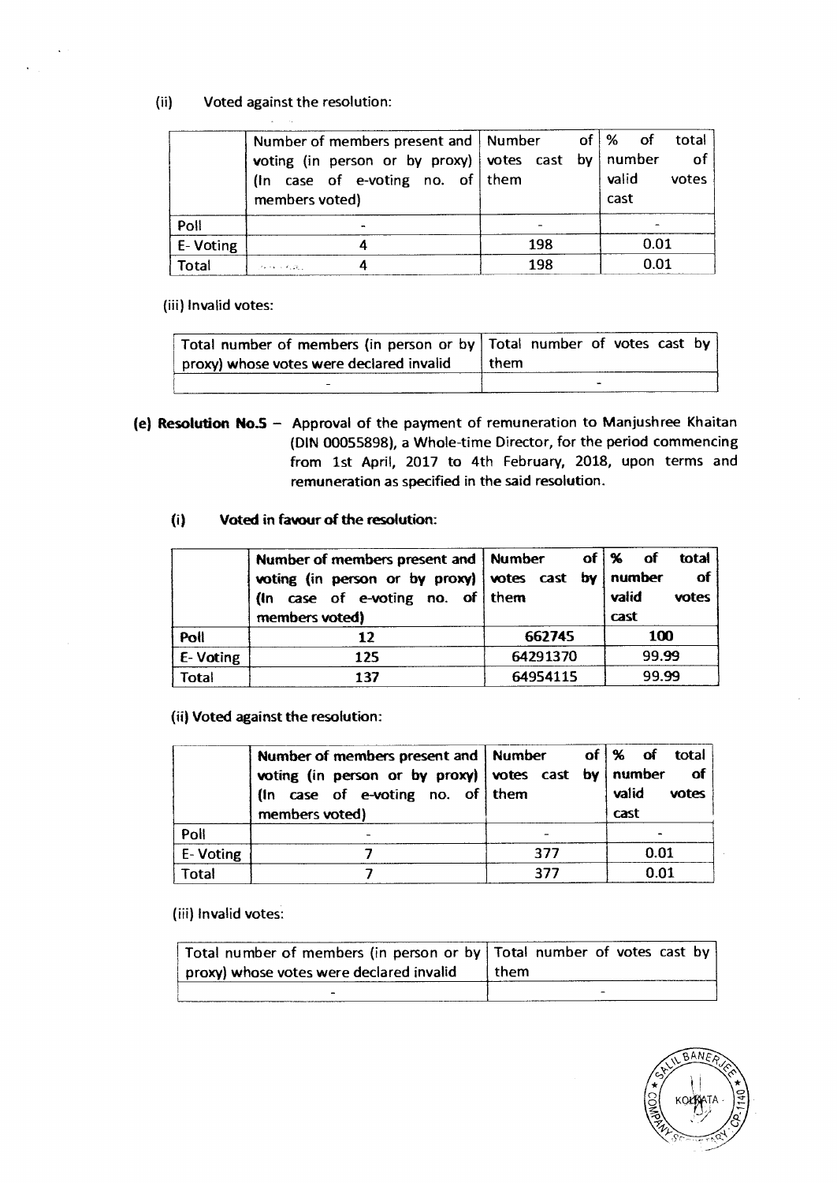## (ii) Voted against the resolution: **Allen**

|          | Number of members present and   Number                                                                                                          |     |  | of $\%$ of | total  |
|----------|-------------------------------------------------------------------------------------------------------------------------------------------------|-----|--|------------|--------|
|          | voting (in person or by proxy) votes cast by number                                                                                             |     |  |            | $-$ of |
|          | (In case of e-voting no. of them                                                                                                                |     |  | valid      | votes  |
|          | members voted)                                                                                                                                  |     |  | cast       |        |
| Poll     |                                                                                                                                                 |     |  |            |        |
| E-Voting |                                                                                                                                                 | 198 |  | 0.01       |        |
| Total    | $\langle \mathcal{F}(\mathbf{r}) \rangle \leq \mathbf{r}(\mathbf{r}) \leq \langle \mathcal{F}(\mathbf{r}) \rangle \mathcal{G}(\mathbf{r}) \, .$ | 198 |  | 0.01       |        |

(iii) Invalid votes:

| Total number of members (in person or by Total number of votes cast by |        |   |  |  |
|------------------------------------------------------------------------|--------|---|--|--|
| $\pm$ proxy) whose votes were declared invalid                         | l them |   |  |  |
|                                                                        |        | - |  |  |

**(e) Resolution NoS —** Approval of the payment of remuneration to Manjushree Khaitan (DIN 00055898), a Whole-time Director, for the period commencing from 1st April, 2017 to 4th February, 2018, upon terms and remuneration as specified in the said resolution.

# **(i) Voted in favour of the resolution:**

|              | Number of members present and   Number<br>voting (in person or by proxy) votes cast by number<br>(In case of e-voting no. of them |          | of   %<br>total<br><b>of</b><br><b>of</b><br>valid<br>votes |
|--------------|-----------------------------------------------------------------------------------------------------------------------------------|----------|-------------------------------------------------------------|
|              | members voted)                                                                                                                    |          | cast                                                        |
| Poll         | 12                                                                                                                                | 662745   | 100                                                         |
| E-Voting     | 125                                                                                                                               | 64291370 | 99.99                                                       |
| <b>Total</b> | 137                                                                                                                               | 64954115 | 99.99                                                       |

**(ii) Voted against the resolution:** 

|              | Number of members present and   Number<br>voting (in person or by proxy) votes cast by   number<br>(In case of e-voting no. of them<br>members voted) |     | of \% of total<br>of<br>valid<br>votes<br>cast |
|--------------|-------------------------------------------------------------------------------------------------------------------------------------------------------|-----|------------------------------------------------|
| Poll         |                                                                                                                                                       |     |                                                |
| E-Voting     |                                                                                                                                                       | 377 | 0.01                                           |
| <b>Total</b> |                                                                                                                                                       | 377 | 0.01                                           |

**(iii) Invalid votes:** 

| Total number of members (in person or by   Total number of votes cast by |        |
|--------------------------------------------------------------------------|--------|
| proxy) whose votes were declared invalid                                 | . them |
| -                                                                        |        |

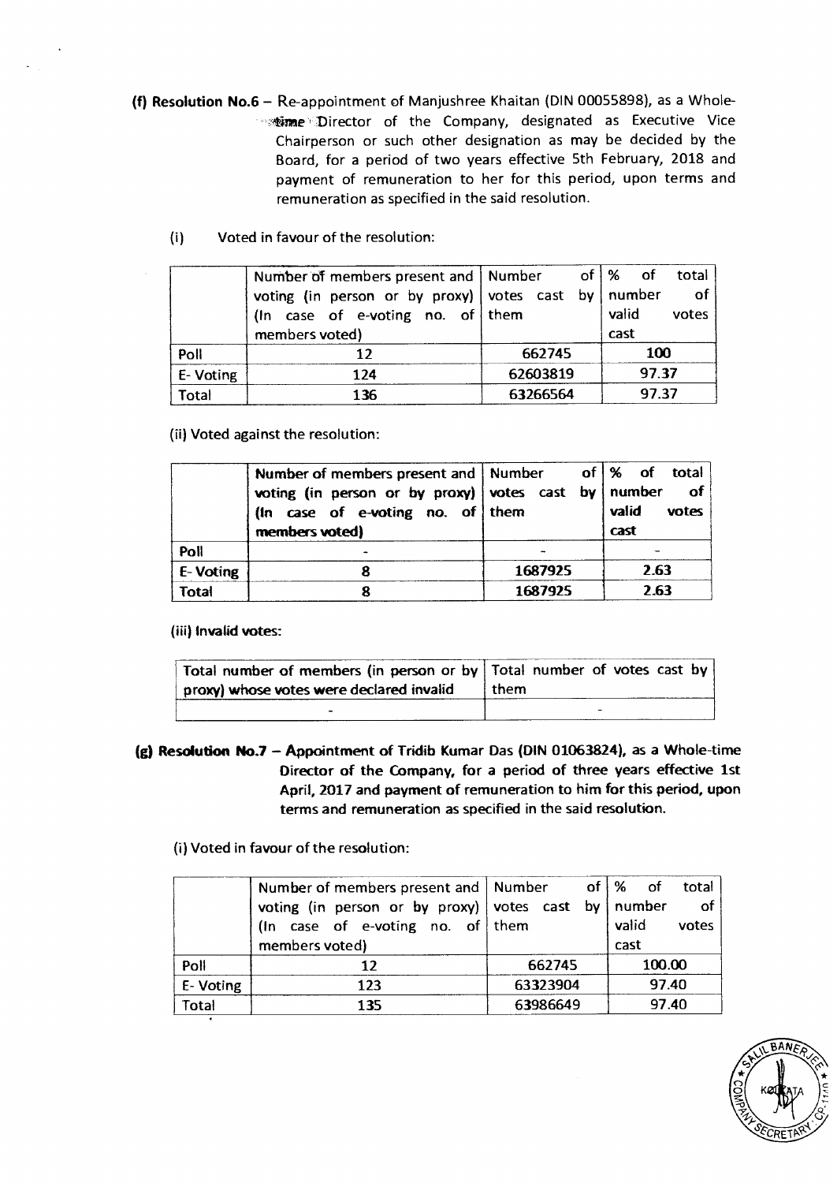- **(f) Resolution No.6** Re-appointment of Manjushree Khaitan (DIN 00055898), as a Whole- **Example Director of the Company, designated as Executive Vice** Chairperson or such other designation as may be decided by the Board, for a period of two years effective 5th February, 2018 and payment of remuneration to her for this period, upon terms and remuneration as specified in the said resolution.
	- $(i)$ Voted in favour of the resolution:

|           | Number of members present and   Number              |          |  | of $\frac{1}{6}$ of | total  |
|-----------|-----------------------------------------------------|----------|--|---------------------|--------|
|           | voting (in person or by proxy) votes cast by number |          |  |                     | $-$ of |
|           | (In case of e-voting no. of them                    |          |  | valid               | votes  |
|           | members voted)                                      |          |  | cast                |        |
| Poll      |                                                     | 662745   |  |                     | 100    |
| E- Voting | 124                                                 | 62603819 |  |                     | 97.37  |
| Total     | 136                                                 | 63266564 |  |                     | 97.37  |

(ii) Voted against the resolution:

|              | Number of members present and   Number<br>voting (in person or by proxy) votes cast by   number<br>(In case of e-voting no. of them<br>members voted) |         | of $\frac{1}{6}$ of total<br>of<br>valid<br>votes<br>cast |
|--------------|-------------------------------------------------------------------------------------------------------------------------------------------------------|---------|-----------------------------------------------------------|
| Poll         |                                                                                                                                                       |         |                                                           |
| E-Voting     | 8                                                                                                                                                     | 1687925 | 2.63                                                      |
| <b>Total</b> |                                                                                                                                                       | 1687925 | 2.63                                                      |

**(iii) Invalid votes:** 

| Total number of members (in person or by   Total number of votes cast by  <br>proxy) whose votes were declared invalid | I them |
|------------------------------------------------------------------------------------------------------------------------|--------|
| -                                                                                                                      |        |

**(g) Resolution No.7 — Appointment of Tridib Kumar Das (DIN 01063824), as a Whole-time Director of the Company, for a period of three years effective 1st April, 2017 and payment of remuneration to him for this period, upon terms and remuneration as specified in the said resolution.** 

(i) **Voted in favour of the** resolution:

|          | Number of members present and $\vert$ Number of $\vert$ % of |          | total          |
|----------|--------------------------------------------------------------|----------|----------------|
|          | voting (in person or by proxy) votes cast by number          |          | $-$ of         |
|          | (In case of e-voting no. of them                             |          | valid<br>votes |
|          | members voted)                                               |          | cast           |
| Poll     | 12                                                           | 662745   | 100.00         |
| E-Voting | 123                                                          | 63323904 | 97.40          |
| Total    | 135                                                          | 63986649 | 97.40          |